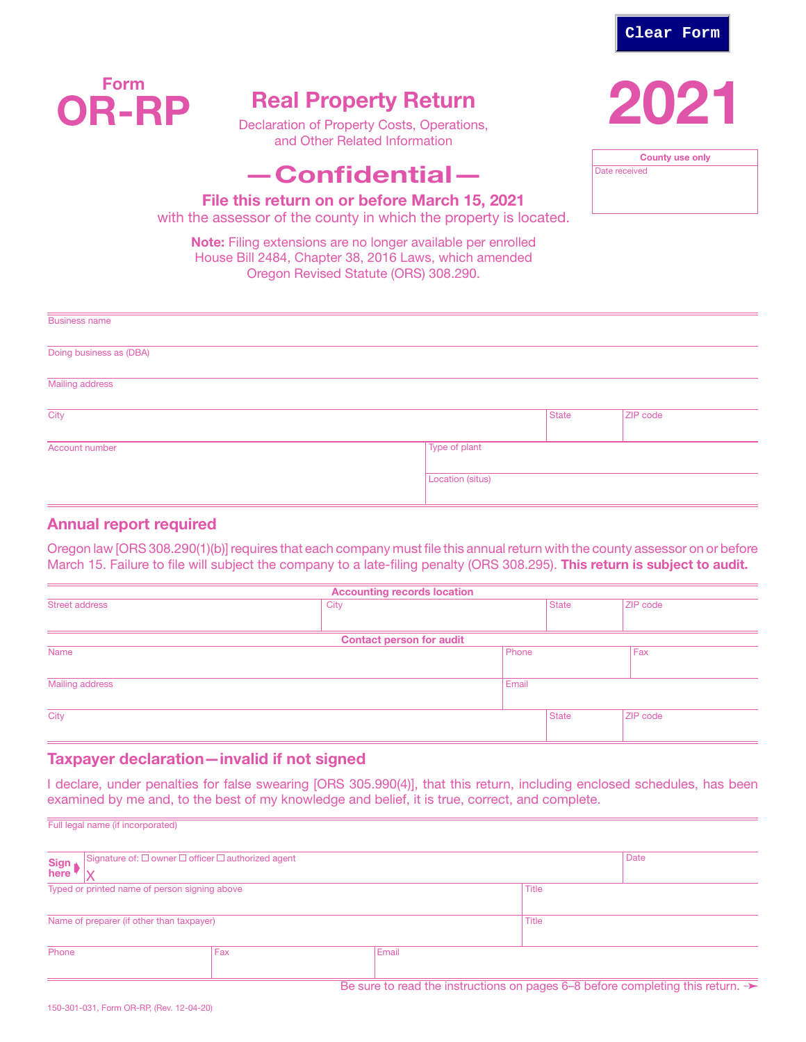

County use only

Date received



# Real Property Return

Declaration of Property Costs, Operations, and Other Related Information

# —Confidential—

File this return on or before March 15, 2021

with the assessor of the county in which the property is located.

Note: Filing extensions are no longer available per enrolled House Bill 2484, Chapter 38, 2016 Laws, which amended Oregon Revised Statute (ORS) 308.290.

| <b>Business name</b>    |                  |       |          |  |  |
|-------------------------|------------------|-------|----------|--|--|
| Doing business as (DBA) |                  |       |          |  |  |
| <b>Mailing address</b>  |                  |       |          |  |  |
| City                    |                  | State | ZIP code |  |  |
| Account number          | Type of plant    |       |          |  |  |
|                         | Location (situs) |       |          |  |  |

## Annual report required

Oregon law [ORS 308.290(1)(b)] requires that each company must file this annual return with the county assessor on or before March 15. Failure to file will subject the company to a late-filing penalty (ORS 308.295). This return is subject to audit.

| <b>Accounting records location</b> |                                 |       |              |          |  |  |  |  |
|------------------------------------|---------------------------------|-------|--------------|----------|--|--|--|--|
| <b>Street address</b>              | City                            |       | <b>State</b> | ZIP code |  |  |  |  |
|                                    |                                 |       |              |          |  |  |  |  |
|                                    | <b>Contact person for audit</b> |       |              |          |  |  |  |  |
| Name                               | Phone                           |       |              | Fax      |  |  |  |  |
|                                    |                                 |       |              |          |  |  |  |  |
| Mailing address                    |                                 | Email |              |          |  |  |  |  |
|                                    |                                 |       |              |          |  |  |  |  |
| City                               |                                 |       | <b>State</b> | ZIP code |  |  |  |  |
|                                    |                                 |       |              |          |  |  |  |  |

## Taxpayer declaration—invalid if not signed

I declare, under penalties for false swearing [ORS 305.990(4)], that this return, including enclosed schedules, has been examined by me and, to the best of my knowledge and belief, it is true, correct, and complete.

| Sign<br>here                                  | Signature of: $\square$ owner $\square$ officer $\square$ authorized agent                 |     |  |              |  | Date |  |  |
|-----------------------------------------------|--------------------------------------------------------------------------------------------|-----|--|--------------|--|------|--|--|
| Typed or printed name of person signing above |                                                                                            |     |  | <b>Title</b> |  |      |  |  |
| Name of preparer (if other than taxpayer)     |                                                                                            |     |  | <b>Title</b> |  |      |  |  |
| Phone                                         |                                                                                            | Fax |  | Email        |  |      |  |  |
|                                               | Be sure to read the instructions on pages 6-8 before completing this return. $\rightarrow$ |     |  |              |  |      |  |  |

Full legal name (if incorporated)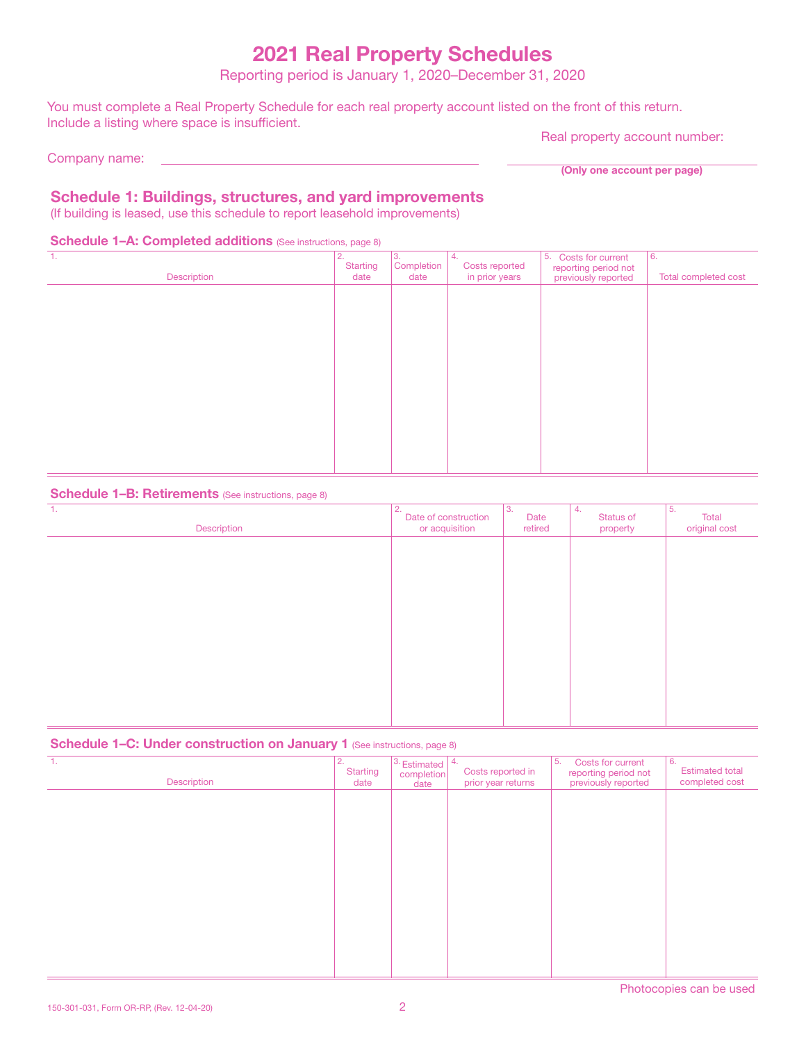# 2021 Real Property Schedules

Reporting period is January 1, 2020–December 31, 2020

You must complete a Real Property Schedule for each real property account listed on the front of this return. Include a listing where space is insufficient.

Company name:

Real property account number:

(Only one account per page)

# Schedule 1: Buildings, structures, and yard improvements

(If building is leased, use this schedule to report leasehold improvements)

## Schedule 1-A: Completed additions (See instructions, page 8)

| $\mathbf{1}$ .<br>Description | 2.<br><b>Starting</b><br>date | 3.<br>Completion<br>date | 4.<br>Costs reported<br>in prior years | 5. Costs for current<br>reporting period not<br>previously reported | 6.<br>Total completed cost |
|-------------------------------|-------------------------------|--------------------------|----------------------------------------|---------------------------------------------------------------------|----------------------------|
|                               |                               |                          |                                        |                                                                     |                            |
|                               |                               |                          |                                        |                                                                     |                            |
|                               |                               |                          |                                        |                                                                     |                            |
|                               |                               |                          |                                        |                                                                     |                            |
|                               |                               |                          |                                        |                                                                     |                            |
|                               |                               |                          |                                        |                                                                     |                            |

### Schedule 1-B: Retirements (See instructions, page 8)

| 1.<br>Description | 2.<br>Date of construction<br>or acquisition | IЗ.<br>Date<br>retired | 4.<br>Status of<br>property | 5.<br>Total<br>original cost |
|-------------------|----------------------------------------------|------------------------|-----------------------------|------------------------------|
|                   |                                              |                        |                             |                              |
|                   |                                              |                        |                             |                              |
|                   |                                              |                        |                             |                              |
|                   |                                              |                        |                             |                              |
|                   |                                              |                        |                             |                              |
|                   |                                              |                        |                             |                              |

## Schedule 1–C: Under construction on January 1 (See instructions, page 8)

| -1.<br>Description | 2.<br><b>Starting</b><br>date | $3.$ Estimated $ 4.$<br>completion<br>date | Costs reported in<br>prior year returns | 5.<br>Costs for current<br>reporting period not<br>previously reported | 6.<br><b>Estimated total</b><br>completed cost |
|--------------------|-------------------------------|--------------------------------------------|-----------------------------------------|------------------------------------------------------------------------|------------------------------------------------|
|                    |                               |                                            |                                         |                                                                        |                                                |
|                    |                               |                                            |                                         |                                                                        |                                                |
|                    |                               |                                            |                                         |                                                                        |                                                |
|                    |                               |                                            |                                         |                                                                        |                                                |
|                    |                               |                                            |                                         |                                                                        |                                                |
|                    |                               |                                            |                                         |                                                                        |                                                |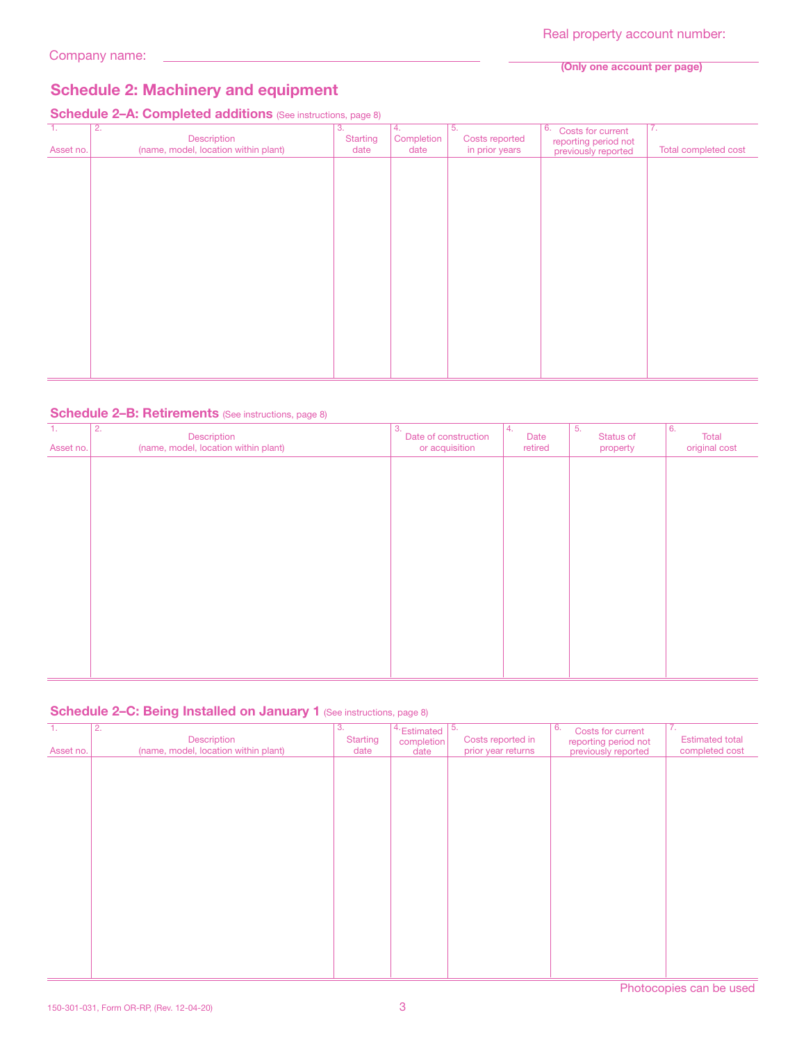#### (Only one account per page)

# Schedule 2: Machinery and equipment

# Schedule 2-A: Completed additions (See instructions, page 8)

| п.<br>Asset no. | 2.<br>Description<br>(name, model, location within plant) | 3.<br>Starting<br>date | 4.<br>Completion<br>date | 5.<br>Costs reported<br>in prior years | 6.<br>Costs for current<br>reporting period not<br>previously reported | $\overline{7}$ .<br>Total completed cost |
|-----------------|-----------------------------------------------------------|------------------------|--------------------------|----------------------------------------|------------------------------------------------------------------------|------------------------------------------|
|                 |                                                           |                        |                          |                                        |                                                                        |                                          |
|                 |                                                           |                        |                          |                                        |                                                                        |                                          |
|                 |                                                           |                        |                          |                                        |                                                                        |                                          |
|                 |                                                           |                        |                          |                                        |                                                                        |                                          |
|                 |                                                           |                        |                          |                                        |                                                                        |                                          |
|                 |                                                           |                        |                          |                                        |                                                                        |                                          |
|                 |                                                           |                        |                          |                                        |                                                                        |                                          |
|                 |                                                           |                        |                          |                                        |                                                                        |                                          |
|                 |                                                           |                        |                          |                                        |                                                                        |                                          |
|                 |                                                           |                        |                          |                                        |                                                                        |                                          |
|                 |                                                           |                        |                          |                                        |                                                                        |                                          |

### Schedule 2-B: Retirements (See instructions, page 8)

| $\overline{1}$ .<br>Asset no. | $\overline{2}$ .<br>Description<br>(name, model, location within plant) | 3.<br>Date of construction<br>or acquisition | 14.<br>Date<br>retired | 5.<br>Status of<br>property | 6.<br>Total<br>original cost |
|-------------------------------|-------------------------------------------------------------------------|----------------------------------------------|------------------------|-----------------------------|------------------------------|
|                               |                                                                         |                                              |                        |                             |                              |
|                               |                                                                         |                                              |                        |                             |                              |
|                               |                                                                         |                                              |                        |                             |                              |
|                               |                                                                         |                                              |                        |                             |                              |
|                               |                                                                         |                                              |                        |                             |                              |
|                               |                                                                         |                                              |                        |                             |                              |
|                               |                                                                         |                                              |                        |                             |                              |

## Schedule 2-C: Being Installed on January 1 (See instructions, page 8)

| т.        | $\overline{2}$ .<br>Description      | 3.<br><b>Starting</b> | $4.$ Estimated $\sqrt{5.}$<br>completion | Costs reported in  | 6.<br>Costs for current<br>reporting period not | 7.<br><b>Estimated total</b> |
|-----------|--------------------------------------|-----------------------|------------------------------------------|--------------------|-------------------------------------------------|------------------------------|
| Asset no. | (name, model, location within plant) | date                  | date                                     | prior year returns | previously reported                             | completed cost               |
|           |                                      |                       |                                          |                    |                                                 |                              |
|           |                                      |                       |                                          |                    |                                                 |                              |
|           |                                      |                       |                                          |                    |                                                 |                              |
|           |                                      |                       |                                          |                    |                                                 |                              |
|           |                                      |                       |                                          |                    |                                                 |                              |
|           |                                      |                       |                                          |                    |                                                 |                              |
|           |                                      |                       |                                          |                    |                                                 |                              |
|           |                                      |                       |                                          |                    |                                                 |                              |
|           |                                      |                       |                                          |                    |                                                 |                              |
|           |                                      |                       |                                          |                    |                                                 |                              |
|           |                                      |                       |                                          |                    |                                                 |                              |
|           |                                      |                       |                                          |                    |                                                 |                              |
|           |                                      |                       |                                          |                    |                                                 |                              |
|           |                                      |                       |                                          |                    |                                                 |                              |
|           |                                      |                       |                                          |                    |                                                 |                              |
|           |                                      |                       |                                          |                    |                                                 |                              |
|           |                                      |                       |                                          |                    |                                                 |                              |
|           |                                      |                       |                                          |                    |                                                 |                              |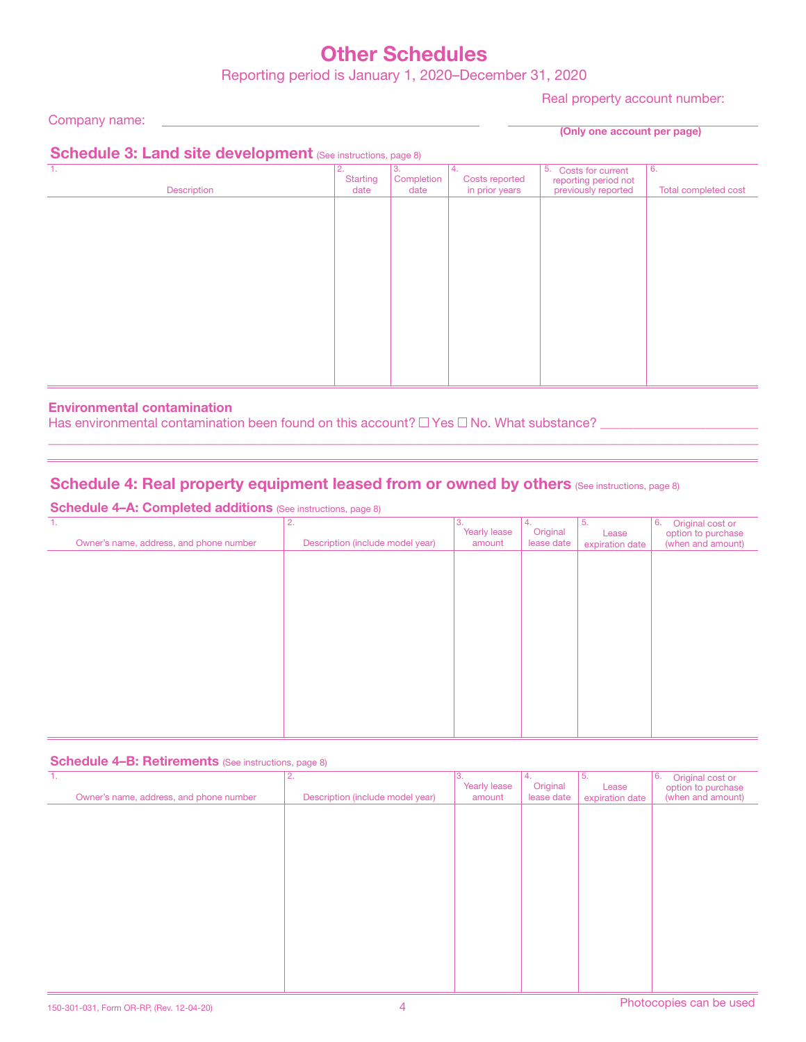# Other Schedules

Reporting period is January 1, 2020–December 31, 2020

Real property account number:

Company name:

(Only one account per page)

# Schedule 3: Land site development (See instructions, page 8)

|             |                       | $\sim$<br>$\sim$ |                       |                                             |                      |
|-------------|-----------------------|------------------|-----------------------|---------------------------------------------|----------------------|
| 1.          | 2.<br><b>Starting</b> | 3.<br>Completion | 14.<br>Costs reported | 5. Costs for current                        | 6.                   |
|             |                       |                  |                       |                                             |                      |
| Description | date                  | date             | in prior years        | reporting period not<br>previously reported | Total completed cost |
|             |                       |                  |                       |                                             |                      |
|             |                       |                  |                       |                                             |                      |
|             |                       |                  |                       |                                             |                      |
|             |                       |                  |                       |                                             |                      |
|             |                       |                  |                       |                                             |                      |
|             |                       |                  |                       |                                             |                      |
|             |                       |                  |                       |                                             |                      |
|             |                       |                  |                       |                                             |                      |
|             |                       |                  |                       |                                             |                      |
|             |                       |                  |                       |                                             |                      |
|             |                       |                  |                       |                                             |                      |
|             |                       |                  |                       |                                             |                      |
|             |                       |                  |                       |                                             |                      |
|             |                       |                  |                       |                                             |                      |
|             |                       |                  |                       |                                             |                      |
|             |                       |                  |                       |                                             |                      |
|             |                       |                  |                       |                                             |                      |
|             |                       |                  |                       |                                             |                      |
|             |                       |                  |                       |                                             |                      |
|             |                       |                  |                       |                                             |                      |
|             |                       |                  |                       |                                             |                      |
|             |                       |                  |                       |                                             |                      |
|             |                       |                  |                       |                                             |                      |

 $\_$  , and the set of the set of the set of the set of the set of the set of the set of the set of the set of the set of the set of the set of the set of the set of the set of the set of the set of the set of the set of th

## Environmental contamination

Has environmental contamination been found on this account?  $\Box$  Yes  $\Box$  No. What substance?

# Schedule 4: Real property equipment leased from or owned by others (See instructions, page 8)

Schedule 4-A: Completed additions (See instructions, page 8)

| 1.<br>Owner's name, address, and phone number | 2.<br>Description (include model year) | 3.<br>Yearly lease<br>amount | 4.<br>Original<br>lease date | 5.<br>Lease<br>expiration date | 6.<br>Original cost or<br>option to purchase<br>(when and amount) |
|-----------------------------------------------|----------------------------------------|------------------------------|------------------------------|--------------------------------|-------------------------------------------------------------------|
|                                               |                                        |                              |                              |                                |                                                                   |
|                                               |                                        |                              |                              |                                |                                                                   |
|                                               |                                        |                              |                              |                                |                                                                   |
|                                               |                                        |                              |                              |                                |                                                                   |
|                                               |                                        |                              |                              |                                |                                                                   |
|                                               |                                        |                              |                              |                                |                                                                   |

#### Schedule 4–B: Retirements (See instructions, page 8)

| $\mathbf{1}$ .<br>Owner's name, address, and phone number | 2.<br>Description (include model year) | 3.<br>Yearly lease<br>amount | 4.<br>Original<br>lease date | 5.<br>Lease<br>expiration date | 6.<br>Original cost or<br>option to purchase<br>(when and amount) |
|-----------------------------------------------------------|----------------------------------------|------------------------------|------------------------------|--------------------------------|-------------------------------------------------------------------|
|                                                           |                                        |                              |                              |                                |                                                                   |
|                                                           |                                        |                              |                              |                                |                                                                   |
|                                                           |                                        |                              |                              |                                |                                                                   |
|                                                           |                                        |                              |                              |                                |                                                                   |
|                                                           |                                        |                              |                              |                                |                                                                   |
|                                                           |                                        |                              |                              |                                |                                                                   |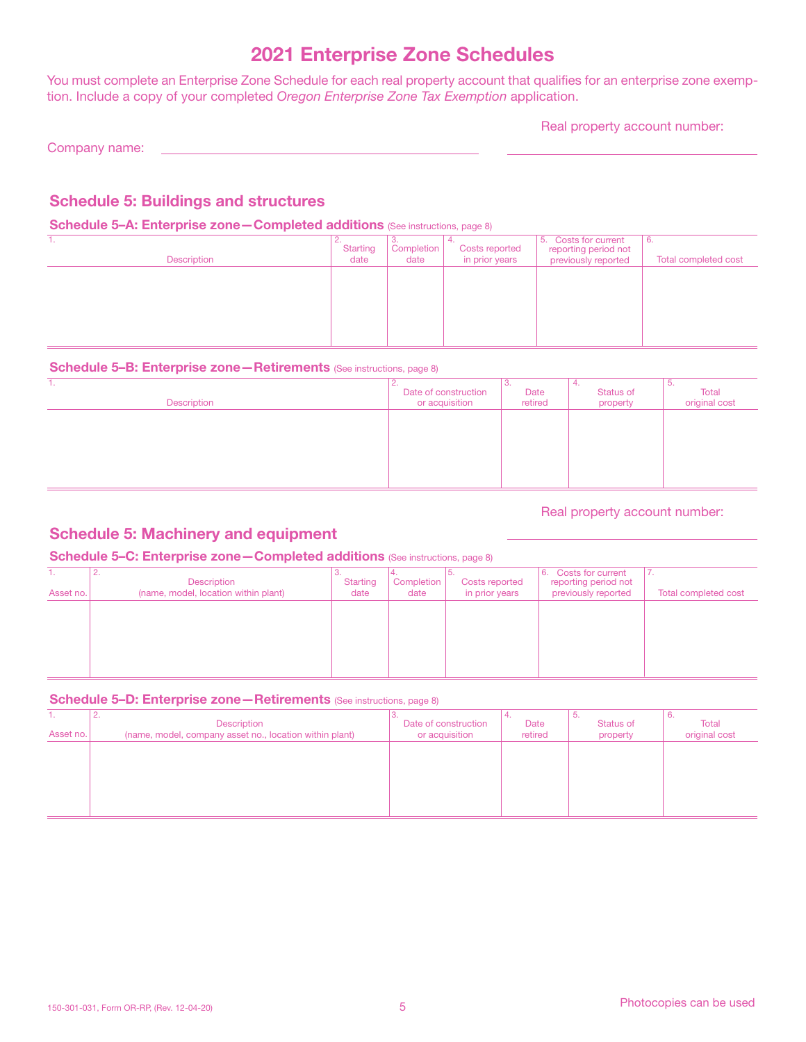# 2021 Enterprise Zone Schedules

You must complete an Enterprise Zone Schedule for each real property account that qualifies for an enterprise zone exemption. Include a copy of your completed *Oregon Enterprise Zone Tax Exemption* application.

Real property account number:

Company name:

# Schedule 5: Buildings and structures

## Schedule 5-A: Enterprise zone - Completed additions (See instructions, page 8)

| . .<br><b>Description</b> | <u>.</u><br><b>Starting</b><br>date | Completion<br>date | <b>Costs reported</b><br>in prior years | 5. Costs for current<br>reporting period not<br>previously reported | l 6.<br>Total completed cost |
|---------------------------|-------------------------------------|--------------------|-----------------------------------------|---------------------------------------------------------------------|------------------------------|
|                           |                                     |                    |                                         |                                                                     |                              |
|                           |                                     |                    |                                         |                                                                     |                              |

## Schedule 5-B: Enterprise zone - Retirements (See instructions, page 8)

| .<br>Description | z.<br>Date of construction<br>or acquisition | ು.<br>Date<br>retired | ٠.<br>Status of<br>property | 5.<br>Total<br>original cost |
|------------------|----------------------------------------------|-----------------------|-----------------------------|------------------------------|
|                  |                                              |                       |                             |                              |
|                  |                                              |                       |                             |                              |
|                  |                                              |                       |                             |                              |

## Real property account number:

# Schedule 5: Machinery and equipment

## Schedule 5-C: Enterprise zone-Completed additions (See instructions, page 8)

| Asset no. | <u>.</u><br>Description<br>(name, model, location within plant) | <b>Starting</b><br>date | Completion<br>date | Costs reported<br>in prior years | <b>Costs for current</b><br>16.<br>reporting period not<br>previously reported | $\sqrt{ }$<br>Total completed cost |
|-----------|-----------------------------------------------------------------|-------------------------|--------------------|----------------------------------|--------------------------------------------------------------------------------|------------------------------------|
|           |                                                                 |                         |                    |                                  |                                                                                |                                    |
|           |                                                                 |                         |                    |                                  |                                                                                |                                    |

#### Schedule 5–D: Enterprise zone – Retirements (See instructions, page 8)

| . .<br>Asset no. | $\sim$<br>Description<br>(name, model, company asset no., location within plant) | Date of construction<br>or acquisition | Date<br>retired | о.<br>Status of<br>property | $\mathbf{b}$ .<br>Total<br>original cost |
|------------------|----------------------------------------------------------------------------------|----------------------------------------|-----------------|-----------------------------|------------------------------------------|
|                  |                                                                                  |                                        |                 |                             |                                          |
|                  |                                                                                  |                                        |                 |                             |                                          |
|                  |                                                                                  |                                        |                 |                             |                                          |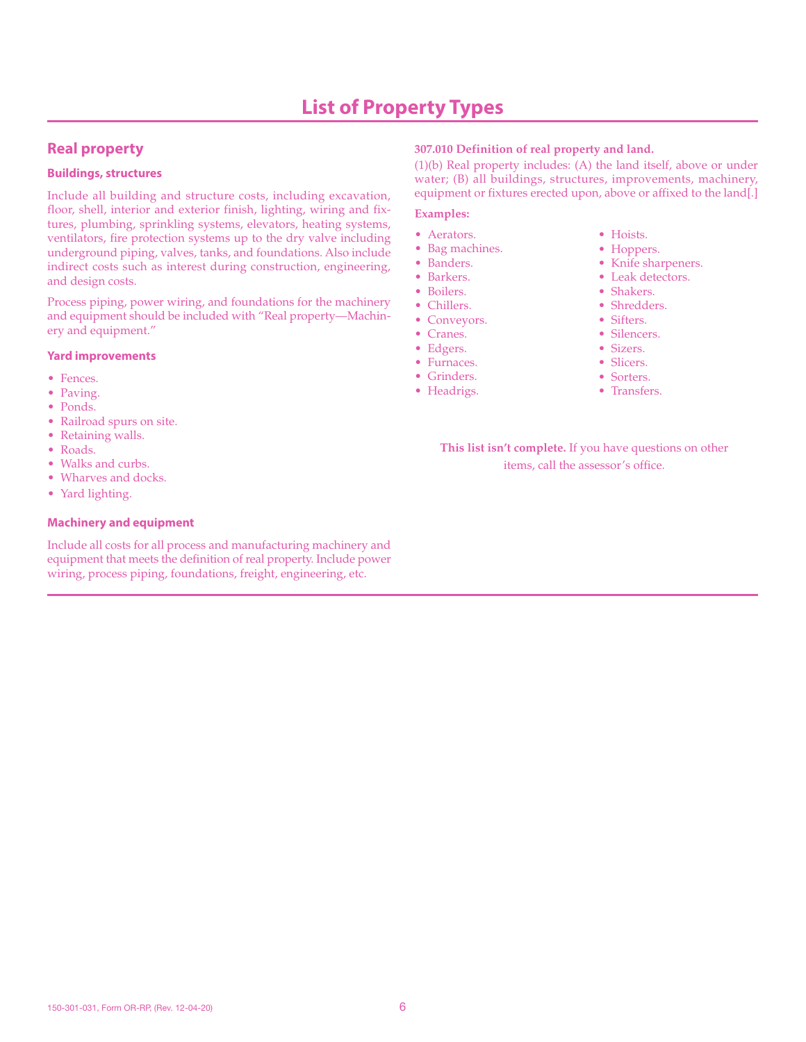# **Real property**

#### **Buildings, structures**

Include all building and structure costs, including excavation, floor, shell, interior and exterior finish, lighting, wiring and fixtures, plumbing, sprinkling systems, elevators, heating systems, ventilators, fire protection systems up to the dry valve including underground piping, valves, tanks, and foundations. Also include indirect costs such as interest during construction, engineering, and design costs.

Process piping, power wiring, and foundations for the machinery and equipment should be included with "Real property—Machinery and equipment."

#### **Yard improvements**

- Fences.
- Paving.
- Ponds.
- Railroad spurs on site.
- Retaining walls.
- Roads.
- Walks and curbs.
- Wharves and docks.
- Yard lighting.

#### **Machinery and equipment**

Include all costs for all process and manufacturing machinery and equipment that meets the definition of real property. Include power wiring, process piping, foundations, freight, engineering, etc.

### **307.010 Definition of real property and land.**

(1)(b) Real property includes: (A) the land itself, above or under water; (B) all buildings, structures, improvements, machinery, equipment or fixtures erected upon, above or affixed to the land[.]

#### **Examples:**

- Aerators.
- Bag machines.
- Banders.
- Barkers.
- Boilers.
- Chillers.
- Conveyors.
- Cranes. • Edgers.
- Furnaces.
- Grinders.
- Headrigs.
- Hoists.
- Hoppers.
- Knife sharpeners.
- Leak detectors.
- Shakers.
- Shredders.
- Sifters.
- Silencers.
- Sizers.
- Slicers.
- Sorters.
- Transfers.

**This list isn't complete.** If you have questions on other items, call the assessor's office.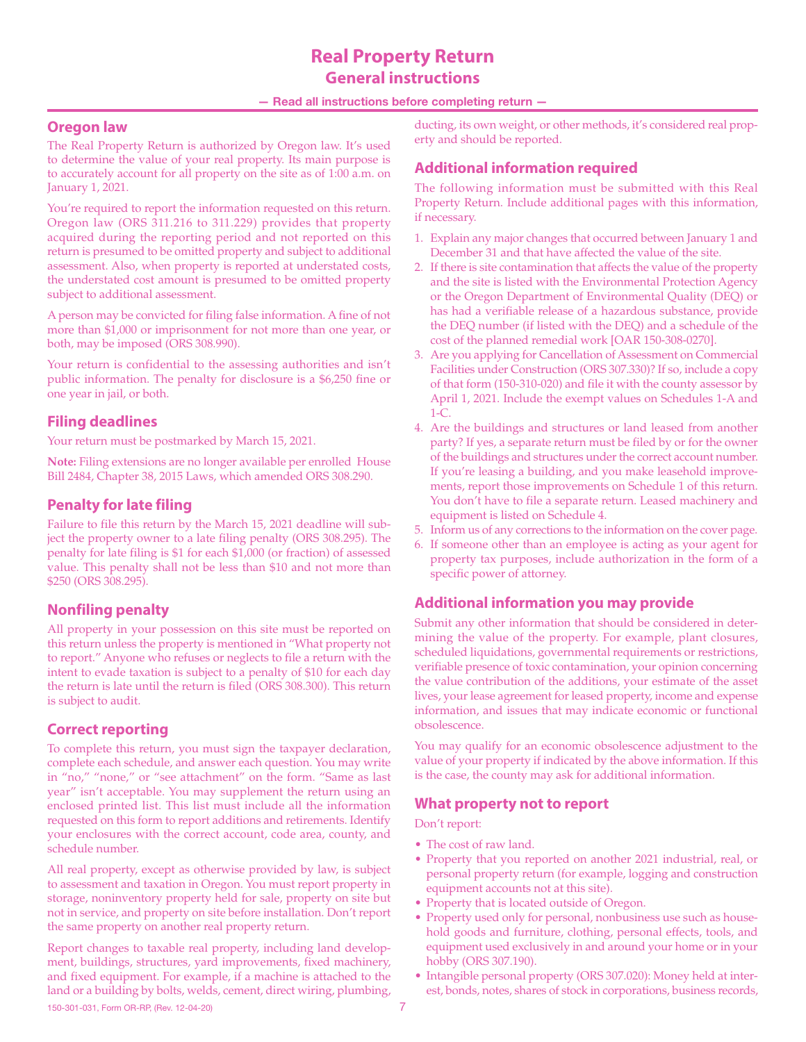# **Real Property Return General instructions**

#### — Read all instructions before completing return —

## **Oregon law**

The Real Property Return is authorized by Oregon law. It's used to determine the value of your real property. Its main purpose is to accurately account for all property on the site as of 1:00 a.m. on January 1, 2021.

You're required to report the information requested on this return. Oregon law (ORS 311.216 to 311.229) provides that property acquired during the reporting period and not reported on this return is presumed to be omitted property and subject to additional assessment. Also, when property is reported at understated costs, the understated cost amount is presumed to be omitted property subject to additional assessment.

A person may be convicted for filing false information. A fine of not more than \$1,000 or imprisonment for not more than one year, or both, may be imposed (ORS 308.990).

Your return is confidential to the assessing authorities and isn't public information. The penalty for disclosure is a \$6,250 fine or one year in jail, or both.

# **Filing deadlines**

Your return must be postmarked by March 15, 2021.

**Note:** Filing extensions are no longer available per enrolled House Bill 2484, Chapter 38, 2015 Laws, which amended ORS 308.290.

# **Penalty for late filing**

Failure to file this return by the March 15, 2021 deadline will subject the property owner to a late filing penalty (ORS 308.295). The penalty for late filing is \$1 for each \$1,000 (or fraction) of assessed value. This penalty shall not be less than \$10 and not more than \$250 (ORS 308.295).

# **Nonfiling penalty**

All property in your possession on this site must be reported on this return unless the property is mentioned in "What property not to report." Anyone who refuses or neglects to file a return with the intent to evade taxation is subject to a penalty of \$10 for each day the return is late until the return is filed (ORS 308.300). This return is subject to audit.

# **Correct reporting**

To complete this return, you must sign the taxpayer declaration, complete each schedule, and answer each question. You may write in "no," "none," or "see attachment" on the form. "Same as last year" isn't acceptable. You may supplement the return using an enclosed printed list. This list must include all the information requested on this form to report additions and retirements. Identify your enclosures with the correct account, code area, county, and schedule number.

All real property, except as otherwise provided by law, is subject to assessment and taxation in Oregon. You must report property in storage, noninventory property held for sale, property on site but not in service, and property on site before installation. Don't report the same property on another real property return.

150-301-031, Form OR-RP, (Rev. 12-04-20) 7 Report changes to taxable real property, including land development, buildings, structures, yard improvements, fixed machinery, and fixed equipment. For example, if a machine is attached to the land or a building by bolts, welds, cement, direct wiring, plumbing,

ducting, its own weight, or other methods, it's considered real property and should be reported.

# **Additional information required**

The following information must be submitted with this Real Property Return. Include additional pages with this information, if necessary.

- 1. Explain any major changes that occurred between January 1 and December 31 and that have affected the value of the site.
- 2. If there is site contamination that affects the value of the property and the site is listed with the Environmental Protection Agency or the Oregon Department of Environmental Quality (DEQ) or has had a verifiable release of a hazardous substance, provide the DEQ number (if listed with the DEQ) and a schedule of the cost of the planned remedial work [OAR 150-308-0270].
- 3. Are you applying for Cancellation of Assessment on Commercial Facilities under Construction (ORS 307.330)? If so, include a copy of that form (150-310-020) and file it with the county assessor by April 1, 2021. Include the exempt values on Schedules 1-A and 1-C.
- 4. Are the buildings and structures or land leased from another party? If yes, a separate return must be filed by or for the owner of the buildings and structures under the correct account number. If you're leasing a building, and you make leasehold improvements, report those improvements on Schedule 1 of this return. You don't have to file a separate return. Leased machinery and equipment is listed on Schedule 4.
- 5. Inform us of any corrections to the information on the cover page.
- 6. If someone other than an employee is acting as your agent for property tax purposes, include authorization in the form of a specific power of attorney.

# **Additional information you may provide**

Submit any other information that should be considered in determining the value of the property. For example, plant closures, scheduled liquidations, governmental requirements or restrictions, verifiable presence of toxic contamination, your opinion concerning the value contribution of the additions, your estimate of the asset lives, your lease agreement for leased property, income and expense information, and issues that may indicate economic or functional obsolescence.

You may qualify for an economic obsolescence adjustment to the value of your property if indicated by the above information. If this is the case, the county may ask for additional information.

## **What property not to report**

Don't report:

- The cost of raw land.
- Property that you reported on another 2021 industrial, real, or personal property return (for example, logging and construction equipment accounts not at this site).
- Property that is located outside of Oregon.
- Property used only for personal, nonbusiness use such as household goods and furniture, clothing, personal effects, tools, and equipment used exclusively in and around your home or in your hobby (ORS 307.190).
- Intangible personal property (ORS 307.020): Money held at interest, bonds, notes, shares of stock in corporations, business records,